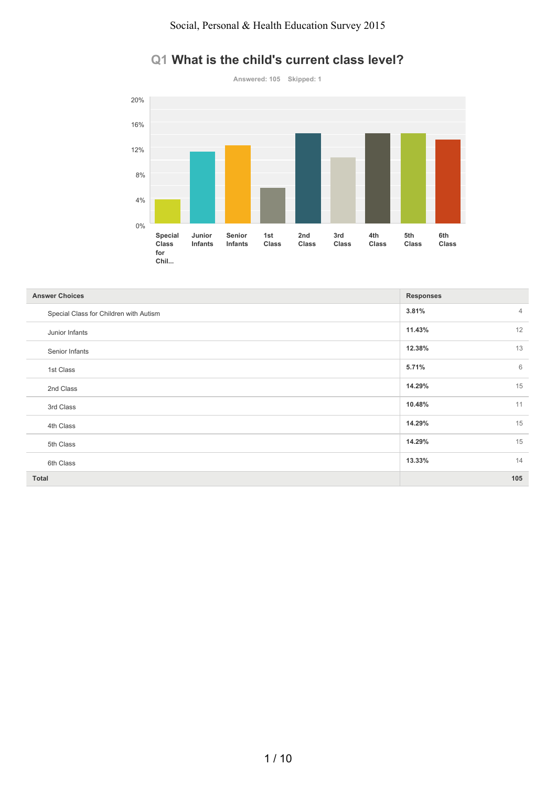#### Social, Personal & Health Education Survey 2015



### **Q1 What is the child's current class level?**

| <b>Answer Choices</b>                  | <b>Responses</b>        |
|----------------------------------------|-------------------------|
| Special Class for Children with Autism | 3.81%<br>$\overline{4}$ |
| Junior Infants                         | 12<br>11.43%            |
| Senior Infants                         | 13<br>12.38%            |
| 1st Class                              | 5.71%<br>6              |
| 2nd Class                              | 15<br>14.29%            |
| 3rd Class                              | 11<br>10.48%            |
| 4th Class                              | 15<br>14.29%            |
| 5th Class                              | 15<br>14.29%            |
| 6th Class                              | 14<br>13.33%            |
| <b>Total</b>                           | 105                     |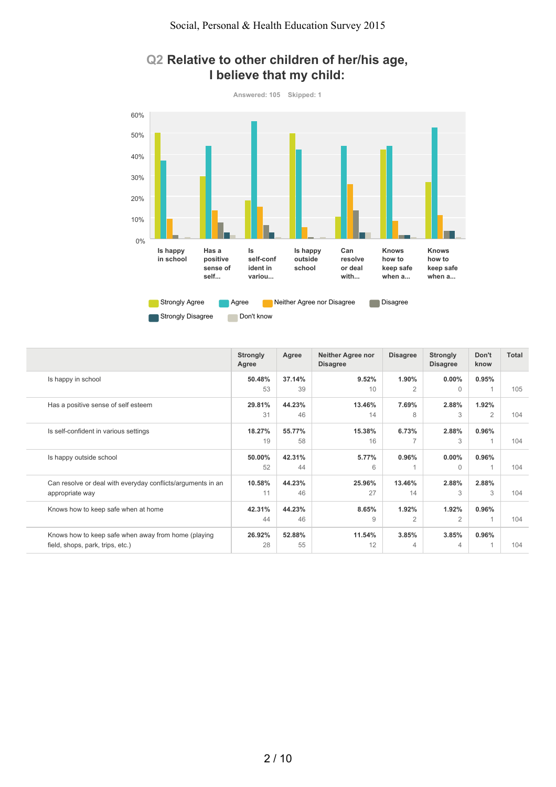

### **Q2 Relative to other children of her/his age, I believe that my child:**

|                                                                                         | <b>Strongly</b><br>Agree | Agree        | <b>Neither Agree nor</b><br><b>Disagree</b> | <b>Disagree</b>         | <b>Strongly</b><br><b>Disagree</b> | Don't<br>know           | Total |
|-----------------------------------------------------------------------------------------|--------------------------|--------------|---------------------------------------------|-------------------------|------------------------------------|-------------------------|-------|
| Is happy in school                                                                      | 50.48%<br>53             | 37.14%<br>39 | 9.52%<br>10                                 | 1.90%<br>$\overline{2}$ | $0.00\%$<br>$\Omega$               | 0.95%                   | 105   |
| Has a positive sense of self esteem                                                     | 29.81%<br>31             | 44.23%<br>46 | 13.46%<br>14                                | 7.69%<br>8              | 2.88%<br>3                         | 1.92%<br>2              | 104   |
| Is self-confident in various settings                                                   | 18.27%<br>19             | 55.77%<br>58 | 15.38%<br>16                                | 6.73%                   | 2.88%<br>3                         | 0.96%<br>$\overline{1}$ | 104   |
| Is happy outside school                                                                 | 50.00%<br>52             | 42.31%<br>44 | 5.77%<br>6                                  | 0.96%                   | $0.00\%$<br>$\Omega$               | $0.96\%$                | 104   |
| Can resolve or deal with everyday conflicts/arguments in an<br>appropriate way          | 10.58%<br>11             | 44.23%<br>46 | 25.96%<br>27                                | 13.46%<br>14            | 2.88%<br>3                         | 2.88%<br>3              | 104   |
| Knows how to keep safe when at home                                                     | 42.31%<br>44             | 44.23%<br>46 | 8.65%<br>9                                  | 1.92%<br>2              | 1.92%<br>$\overline{2}$            | 0.96%<br>$\overline{1}$ | 104   |
| Knows how to keep safe when away from home (playing<br>field, shops, park, trips, etc.) | 26.92%<br>28             | 52.88%<br>55 | 11.54%<br>12                                | 3.85%<br>4              | 3.85%<br>4                         | $0.96\%$                | 104   |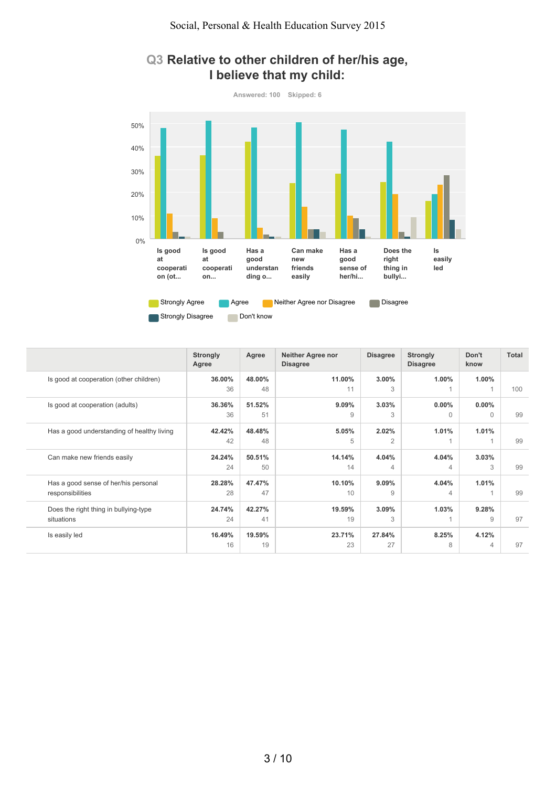

#### **Q3 Relative to other children of her/his age, I believe that my child:**

|                                                          | <b>Strongly</b><br>Agree | Agree        | <b>Neither Agree nor</b><br><b>Disagree</b> | <b>Disagree</b>         | <b>Strongly</b><br><b>Disagree</b> | Don't<br>know        | <b>Total</b> |
|----------------------------------------------------------|--------------------------|--------------|---------------------------------------------|-------------------------|------------------------------------|----------------------|--------------|
| Is good at cooperation (other children)                  | 36.00%<br>36             | 48.00%<br>48 | 11.00%<br>11                                | 3.00%<br>3              | 1.00%                              | $1.00\%$             | 100          |
| Is good at cooperation (adults)                          | 36.36%<br>36             | 51.52%<br>51 | 9.09%<br>9                                  | 3.03%<br>3              | $0.00\%$<br>$\Omega$               | $0.00\%$<br>$\Omega$ | 99           |
| Has a good understanding of healthy living               | 42.42%<br>42             | 48.48%<br>48 | 5.05%<br>5                                  | 2.02%<br>$\overline{2}$ | 1.01%                              | 1.01%                | 99           |
| Can make new friends easily                              | 24.24%<br>24             | 50.51%<br>50 | 14.14%<br>14                                | 4.04%<br>4              | 4.04%<br>$\overline{4}$            | 3.03%<br>3           | 99           |
| Has a good sense of her/his personal<br>responsibilities | 28.28%<br>28             | 47.47%<br>47 | 10.10%<br>10                                | 9.09%<br>9              | 4.04%<br>$\overline{4}$            | 1.01%                | 99           |
| Does the right thing in bullying-type<br>situations      | 24.74%<br>24             | 42.27%<br>41 | 19.59%<br>19                                | 3.09%<br>3              | 1.03%                              | 9.28%<br>9           | 97           |
| Is easily led                                            | 16.49%<br>16             | 19.59%<br>19 | 23.71%<br>23                                | 27.84%<br>27            | 8.25%<br>8                         | 4.12%<br>4           | 97           |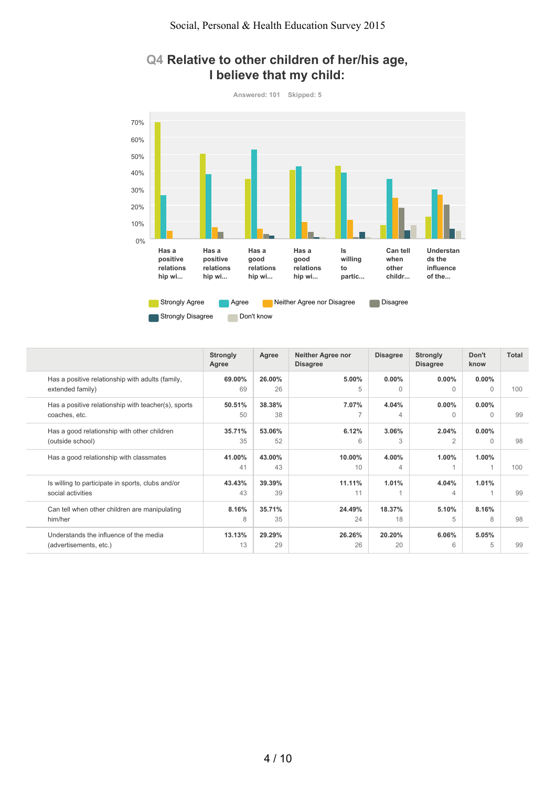

### **Q4 Relative to other children of her/his age, I believe that my child:**

|                                                                        | <b>Strongly</b><br>Agree | Agree        | <b>Neither Agree nor</b><br><b>Disagree</b> | <b>Disagree</b> | <b>Strongly</b><br><b>Disagree</b> | Don't<br>know         | <b>Total</b> |
|------------------------------------------------------------------------|--------------------------|--------------|---------------------------------------------|-----------------|------------------------------------|-----------------------|--------------|
| Has a positive relationship with adults (family,                       | 69.00%                   | 26.00%       | 5.00%                                       | $0.00\%$        | $0.00\%$                           | $0.00\%$              | 100          |
| extended family)                                                       | 69                       | 26           | 5                                           | $\Omega$        | $\Omega$                           | $\Omega$              |              |
| Has a positive relationship with teacher(s), sports<br>coaches, etc.   | 50.51%<br>50             | 38.38%<br>38 | 7.07%                                       | 4.04%<br>4      | $0.00\%$<br>$\Omega$               | $0.00\%$<br>$\bigcap$ | 99           |
| Has a good relationship with other children                            | 35.71%                   | 53.06%       | 6.12%                                       | 3.06%           | 2.04%                              | $0.00\%$              | 98           |
| (outside school)                                                       | 35                       | 52           | 6                                           | 3               | $\overline{2}$                     | $\bigcap$             |              |
| Has a good relationship with classmates                                | 41.00%<br>41             | 43.00%<br>43 | 10.00%<br>10                                | 4.00%<br>4      | 1.00%                              | 1.00%                 | 100          |
| Is willing to participate in sports, clubs and/or<br>social activities | 43.43%<br>43             | 39.39%<br>39 | 11.11%<br>11                                | 1.01%           | 4.04%<br>4                         | 1.01%                 | 99           |
| Can tell when other children are manipulating                          | 8.16%                    | 35.71%       | 24.49%                                      | 18.37%          | 5.10%                              | 8.16%                 | 98           |
| him/her                                                                | 8                        | 35           | 24                                          | 18              | 5                                  | 8                     |              |
| Understands the influence of the media                                 | 13.13%                   | 29.29%       | 26.26%                                      | 20.20%          | 6.06%                              | 5.05%                 | 99           |
| (advertisements, etc.)                                                 | 13                       | 29           | 26                                          | 20              | 6                                  | 5                     |              |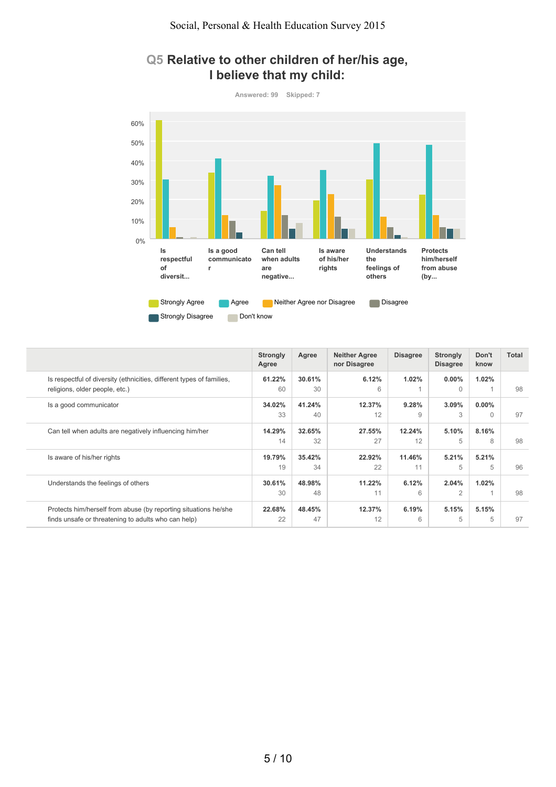

## **Q5 Relative to other children of her/his age, I believe that my child:**

|                                                                       | <b>Strongly</b><br>Agree | Agree  | <b>Neither Agree</b><br>nor Disagree | <b>Disagree</b> | <b>Strongly</b><br><b>Disagree</b> | Don't<br>know | <b>Total</b> |
|-----------------------------------------------------------------------|--------------------------|--------|--------------------------------------|-----------------|------------------------------------|---------------|--------------|
| Is respectful of diversity (ethnicities, different types of families, | 61.22%                   | 30.61% | 6.12%                                | 1.02%           | $0.00\%$                           | 1.02%         |              |
| religions, older people, etc.)                                        | 60                       | 30     | 6                                    |                 | $\Omega$                           |               | 98           |
| Is a good communicator                                                | 34.02%                   | 41.24% | 12.37%                               | 9.28%           | 3.09%                              | $0.00\%$      |              |
|                                                                       | 33                       | 40     | 12                                   | 9               | 3                                  | $\bigcap$     | 97           |
| Can tell when adults are negatively influencing him/her               | 14.29%                   | 32.65% | 27.55%                               | 12.24%          | 5.10%                              | 8.16%         |              |
|                                                                       | 14                       | 32     | 27                                   | 12              | 5                                  | 8             | 98           |
| Is aware of his/her rights                                            | 19.79%                   | 35.42% | 22.92%                               | 11.46%          | 5.21%                              | 5.21%         |              |
|                                                                       | 19                       | 34     | 22                                   | 11              | 5                                  | 5             | 96           |
| Understands the feelings of others                                    | 30.61%                   | 48.98% | 11.22%                               | 6.12%           | 2.04%                              | 1.02%         |              |
|                                                                       | 30                       | 48     | 11                                   | 6               | 2                                  |               | 98           |
| Protects him/herself from abuse (by reporting situations he/she       | 22.68%                   | 48.45% | 12.37%                               | 6.19%           | 5.15%                              | 5.15%         |              |
| finds unsafe or threatening to adults who can help)                   | 22                       | 47     | 12                                   | 6               | 5                                  | 5             | 97           |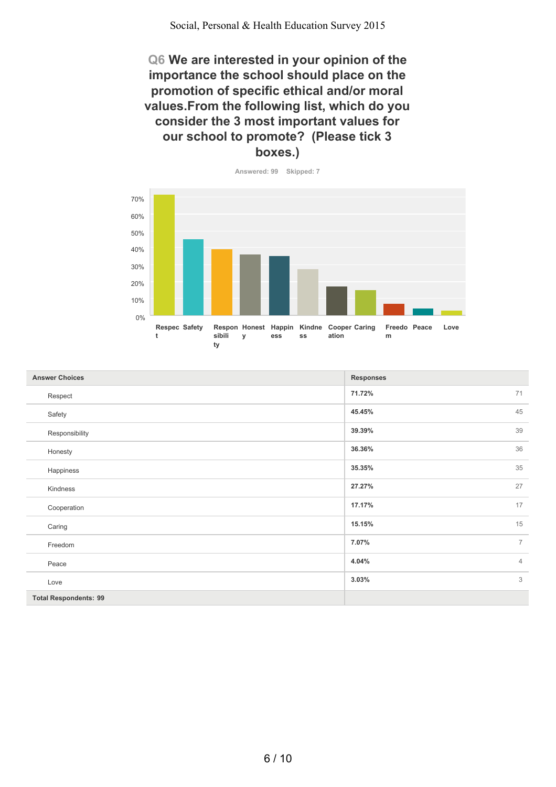**Q6 We are interested in your opinion of the importance the school should place on the promotion of specific ethical and/or moral values.From the following list, which do you consider the 3 most important values for our school to promote? (Please tick 3 boxes.)**



| <b>Answer Choices</b>        | <b>Responses</b>        |
|------------------------------|-------------------------|
| Respect                      | 71<br>71.72%            |
| Safety                       | 45<br>45.45%            |
| Responsibility               | 39<br>39.39%            |
| Honesty                      | 36<br>36.36%            |
| Happiness                    | 35<br>35.35%            |
| Kindness                     | 27<br>27.27%            |
| Cooperation                  | 17<br>17.17%            |
| Caring                       | 15<br>15.15%            |
| Freedom                      | 7.07%<br>$\overline{7}$ |
| Peace                        | 4.04%<br>$\overline{4}$ |
| Love                         | $\mathfrak{Z}$<br>3.03% |
| <b>Total Respondents: 99</b> |                         |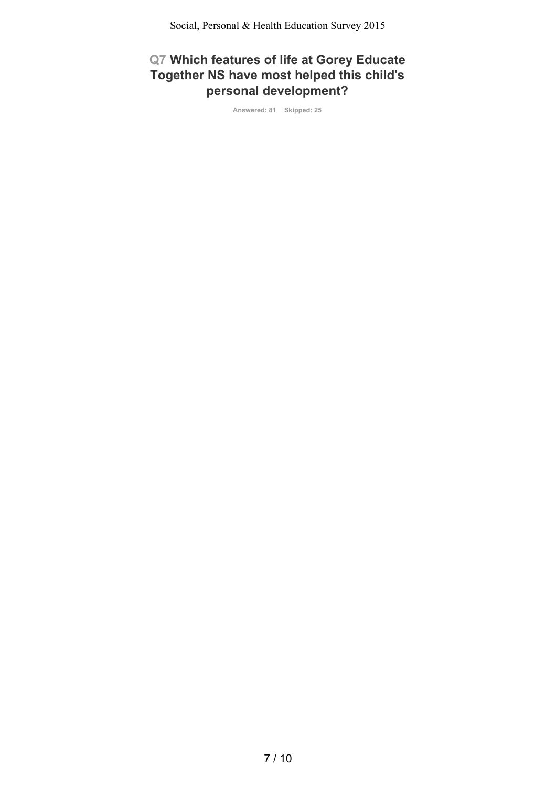# **Q7 Which features of life at Gorey Educate Together NS have most helped this child's personal development?**

**Answered: 81 Skipped: 25**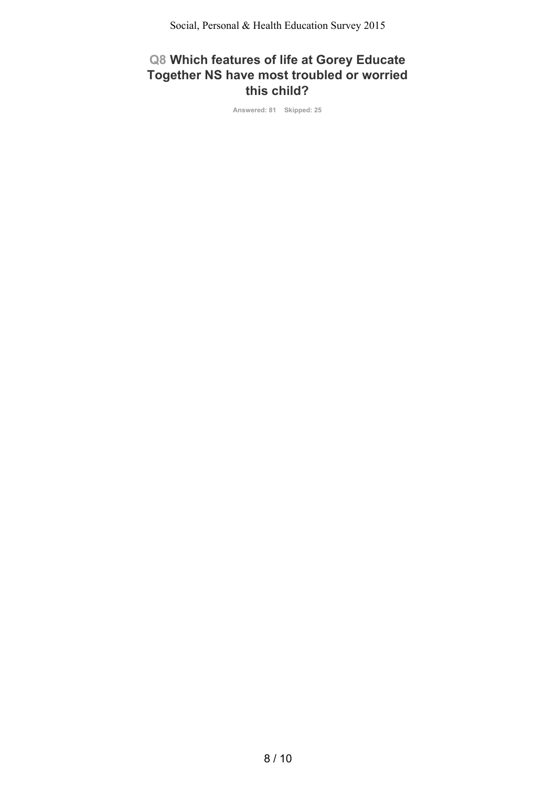Social, Personal & Health Education Survey 2015

## **Q8 Which features of life at Gorey Educate Together NS have most troubled or worried this child?**

**Answered: 81 Skipped: 25**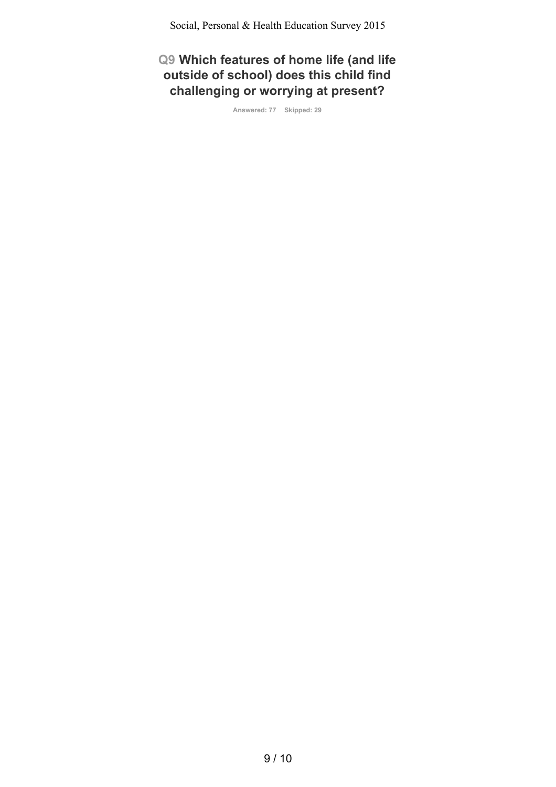**Q9 Which features of home life (and life outside of school) does this child find challenging or worrying at present?**

**Answered: 77 Skipped: 29**